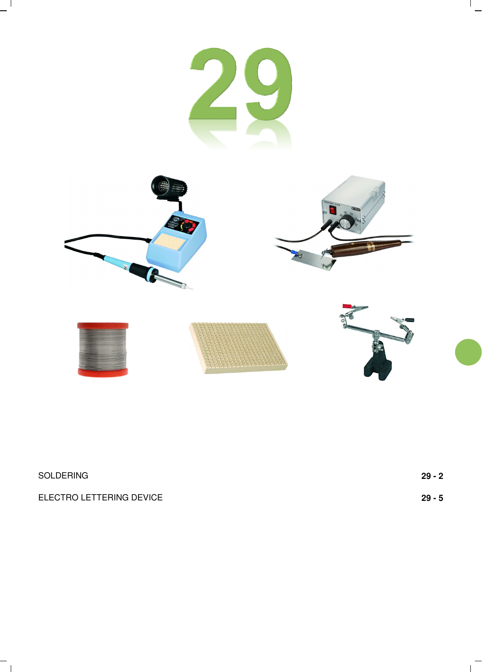

 $\frac{1}{2}$ 

 $\overline{1}$ 

 $-$ <sup> $\overline{1}$ </sup>

 $-$ <sub>1</sub>

| SOLDERING                | 29 - 2 |
|--------------------------|--------|
| ELECTRO LETTERING DEVICE | 29 - 5 |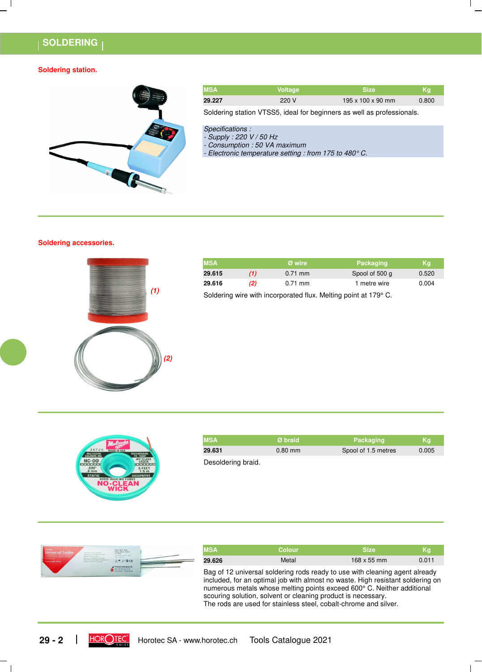## **SOLDERING**

### **Soldering station.**



| <b>MSA</b> | <b>Voltage</b> | <b>Size</b>                   | Kg    |
|------------|----------------|-------------------------------|-------|
| 29.227     | 220 V          | $195 \times 100 \times 90$ mm | 0.800 |
|            |                |                               |       |

Soldering station VTSS5, ideal for beginners as well as professionals.

- Specifications :
	- Supply : 220 V / 50 Hz
	- Consumption : 50 VA maximum

- Electronic temperature setting : from 175 to 480° C.

## **Soldering accessories.**



|     | <b>MSA</b> |                                                                 | Ø wire            | Packaging      | Ka    |  |
|-----|------------|-----------------------------------------------------------------|-------------------|----------------|-------|--|
|     | 29.615     | (1)                                                             | $0.71 \text{ mm}$ | Spool of 500 g | 0.520 |  |
|     | 29.616     | (2)                                                             | 0.71 mm           | 1 metre wire   | 0.004 |  |
| (1) |            | Soldering wire with incorporated flux. Melting point at 179° C. |                   |                |       |  |



| <b>MSA</b> | Ø braid   | Packaging           | <b>Ka</b> |
|------------|-----------|---------------------|-----------|
| 29.631     | $0.80$ mm | Spool of 1.5 metres | 0.005     |
|            |           |                     |           |

Desoldering braid.



| <b>MSA</b> | <b>Colour</b>                                                                                                                    | <b>Size</b>                                                                                                                                                                                                                             | Kg    |
|------------|----------------------------------------------------------------------------------------------------------------------------------|-----------------------------------------------------------------------------------------------------------------------------------------------------------------------------------------------------------------------------------------|-------|
| 29.626     | Metal                                                                                                                            | 168 x 55 mm                                                                                                                                                                                                                             | 0.011 |
|            | scouring solution, solvent or cleaning product is necessary.<br>The rods are used for stainless steel, cobalt-chrome and silver. | Bag of 12 universal soldering rods ready to use with cleaning agent already<br>included, for an optimal job with almost no waste. High resistant soldering on<br>numerous metals whose melting points exceed 600° C. Neither additional |       |

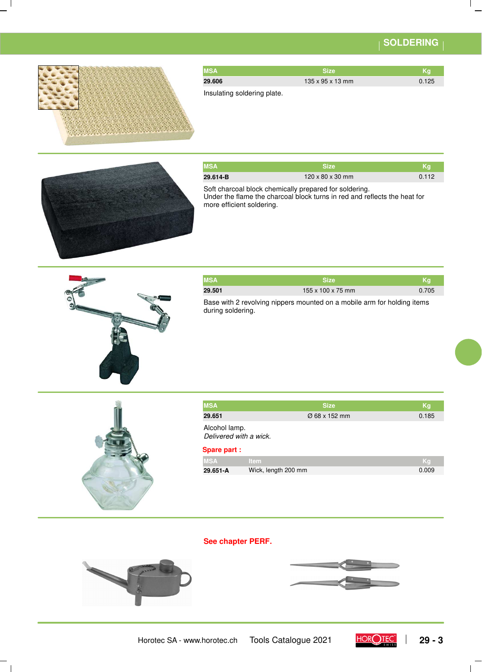# **SOLDERING**



| <b>MSA</b> | <b>Size</b>                  | Kq    |
|------------|------------------------------|-------|
| 29.606     | $135 \times 95 \times 13$ mm | 0.125 |
| .<br>.     |                              |       |

Insulating soldering plate.



| <b>MSA</b> | <b>Size</b>                                            | Ka    |
|------------|--------------------------------------------------------|-------|
| 29.614-B   | $120 \times 80 \times 30$ mm                           | 0.112 |
|            | Soft charcoal block chemically prepared for soldering. |       |

Under the flame the charcoal block turns in red and reflects the heat for more efficient soldering.



| <b>MSA</b> | <b>Size</b>                                                             | .Ka   |
|------------|-------------------------------------------------------------------------|-------|
| 29.501     | $155 \times 100 \times 75$ mm                                           | 0.705 |
|            | Base with 2 revolving nippers mounted on a mobile arm for holding items |       |

Base with 2 revolving nippers mounted on a mobile arm for holding items during soldering.



| <b>MSA</b>                              | <b>Size</b>               | Ka    |
|-----------------------------------------|---------------------------|-------|
| 29.651                                  | $\varnothing$ 68 x 152 mm | 0.185 |
| Alcohol lamp.<br>Delivered with a wick. |                           |       |

## **Spare part :**

| <b>IMSA</b> | — Item⊹             | -Ka   |
|-------------|---------------------|-------|
| 29.651-A    | Wick, length 200 mm | 0.009 |

## **See chapter PERF.**



 $\overline{\phantom{a}}$ 



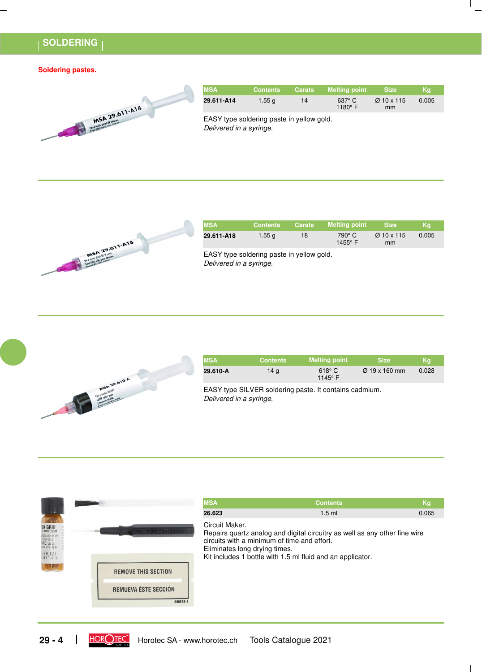## **SOLDERING**

#### **Soldering pastes.**



| <b>MSA</b> | <b>Contents</b> | <b>Carats</b> | <b>Melting point</b>              | <b>Size</b>                  | Kq    |
|------------|-----------------|---------------|-----------------------------------|------------------------------|-------|
| 29.611-A14 | 1.55 $q$        | 14            | $637^\circ$ C<br>1180 $\degree$ F | $\varnothing$ 10 x 115<br>mm | 0.005 |
| _ _ _ _ _  | .               |               |                                   |                              |       |

Delivered in a syringe. EASY type soldering paste in yellow gold.



| <b>MSA</b> | <b>Contents</b> | <b>Carats</b> | <b>Melting point</b>     | <b>Size</b>                  | Ka    |
|------------|-----------------|---------------|--------------------------|------------------------------|-------|
| 29.611-A18 | $1.55$ q        | 18            | 790° C<br>$1455^\circ$ F | $\varnothing$ 10 x 115<br>mm | 0.005 |

Delivered in a syringe. EASY type soldering paste in yellow gold.



| <b>MSA</b> | <b>Contents</b> | <b>Melting point</b>              | <b>Size</b>               | Kg    |
|------------|-----------------|-----------------------------------|---------------------------|-------|
| 29.610-A   | 14 a            | $618^\circ$ C<br>1145 $\degree$ F | $\varnothing$ 19 x 160 mm | 0.028 |

Delivered in a syringe. EASY type SILVER soldering paste. It contains cadmium.



| <b>Contents</b>                                                                                                                                                                                                          | Kg    |
|--------------------------------------------------------------------------------------------------------------------------------------------------------------------------------------------------------------------------|-------|
| $1.5$ ml                                                                                                                                                                                                                 | 0.065 |
| Repairs quartz analog and digital circuitry as well as any other fine wire<br>circuits with a minimum of time and effort.<br>Eliminates long drying times.<br>Kit includes 1 bottle with 1.5 ml fluid and an applicator. |       |
|                                                                                                                                                                                                                          |       |
|                                                                                                                                                                                                                          |       |

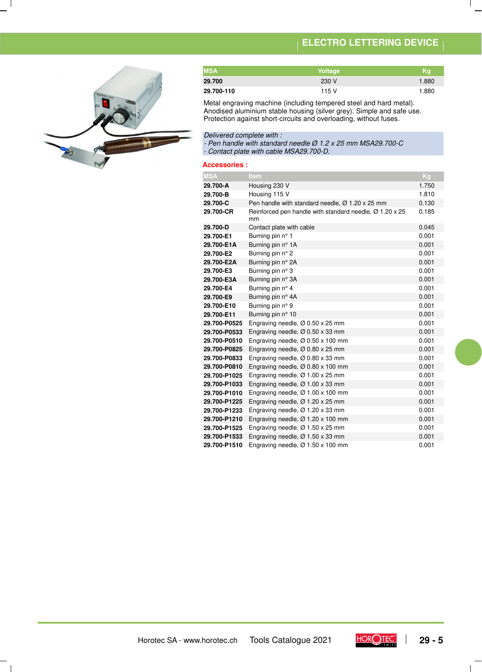# **ELECTRO LETTERING DEVICE**



| <b>MSA</b> | Voltage | Ka    |
|------------|---------|-------|
| 29.700     | 230 V   | 1.880 |
| 29.700-110 | 115 V   | 1.880 |

Metal engraving machine (including tempered steel and hard metal). Anodised aluminium stable housing (silver grey). Simple and safe use. Protection against short-circuits and overloading, without fuses.

Delivered complete with :

- Pen handle with standard needle Ø 1.2 x 25 mm MSA29.700-C - Contact plate with cable MSA29.700-D.

**Accessories :**

| <b>MSA</b>   | Item                                                                      | Kg    |
|--------------|---------------------------------------------------------------------------|-------|
| 29.700-A     | Housing 230 V                                                             | 1.750 |
| 29.700-B     | Housing 115 V                                                             | 1.810 |
| 29.700-C     | Pen handle with standard needle, $\varnothing$ 1.20 x 25 mm               | 0.130 |
| 29.700-CR    | Reinforced pen handle with standard needle, $\varnothing$ 1.20 x 25<br>mm | 0.185 |
| 29.700-D     | Contact plate with cable                                                  | 0.045 |
| 29.700-E1    | Burning pin n° 1                                                          | 0.001 |
| 29.700-E1A   | Burning pin n° 1A                                                         | 0.001 |
| 29.700-E2    | Burning pin n° 2                                                          | 0.001 |
| 29.700-E2A   | Burning pin n° 2A                                                         | 0.001 |
| 29.700-E3    | Burning pin n° 3                                                          | 0.001 |
| 29.700-E3A   | Burning pin n° 3A                                                         | 0.001 |
| 29.700-E4    | Burning pin n° 4                                                          | 0.001 |
| 29.700-E9    | Burning pin n° 4A                                                         | 0.001 |
| 29.700-E10   | Burning pin n° 9                                                          | 0.001 |
| 29.700-E11   | Burning pin n° 10                                                         | 0.001 |
| 29.700-P0525 | Engraving needle, $\varnothing$ 0.50 x 25 mm                              | 0.001 |
| 29.700-P0533 | Engraving needle, $\varnothing$ 0.50 x 33 mm                              | 0.001 |
| 29.700-P0510 | Engraving needle, $\varnothing$ 0.50 x 100 mm                             | 0.001 |
| 29.700-P0825 | Engraving needle, $\varnothing$ 0.80 x 25 mm                              | 0.001 |
| 29.700-P0833 | Engraving needle, $\varnothing$ 0.80 x 33 mm                              | 0.001 |
| 29.700-P0810 | Engraving needle, $\varnothing$ 0.80 x 100 mm                             | 0.001 |
| 29.700-P1025 | Engraving needle, $\varnothing$ 1.00 x 25 mm                              | 0.001 |
| 29.700-P1033 | Engraving needle, $\varnothing$ 1.00 x 33 mm                              | 0.001 |
| 29.700-P1010 | Engraving needle, $\varnothing$ 1.00 x 100 mm                             | 0.001 |
| 29.700-P1225 | Engraving needle, $\varnothing$ 1.20 x 25 mm                              | 0.001 |
| 29.700-P1233 | Engraving needle, $\varnothing$ 1.20 x 33 mm                              | 0.001 |
| 29.700-P1210 | Engraving needle, $\varnothing$ 1.20 x 100 mm                             | 0.001 |
| 29.700-P1525 | Engraving needle, $\varnothing$ 1.50 x 25 mm                              | 0.001 |
| 29.700-P1533 | Engraving needle, $\varnothing$ 1.50 x 33 mm                              | 0.001 |
| 29.700-P1510 | Engraving needle, $\varnothing$ 1.50 x 100 mm                             | 0.001 |